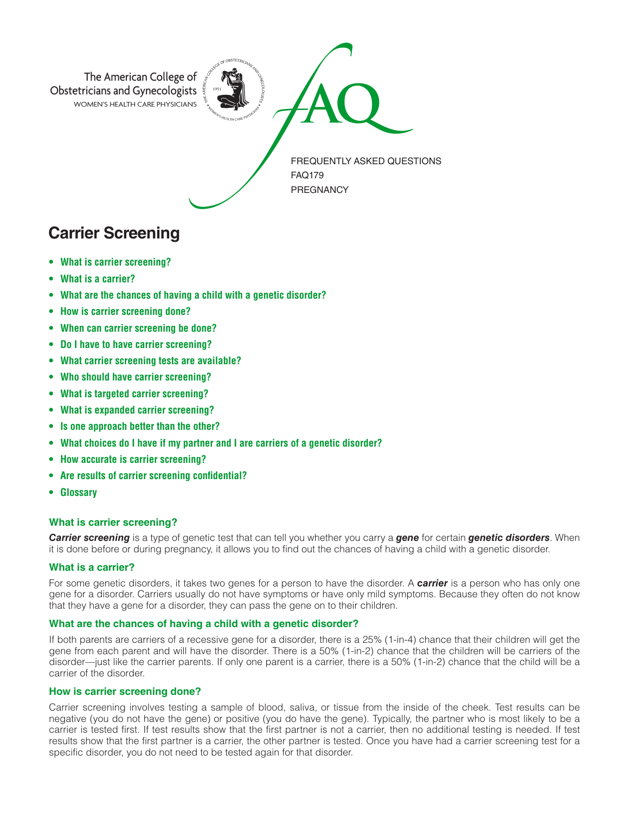

# **Carrier Screening**

- **• What is carrier screening?**
- **What is a carrier?**
- **What are the chances of having a child with a genetic disorder?**
- **How is carrier screening done?**
- **When can carrier screening be done?**
- **Do I have to have carrier screening?**
- **What carrier screening tests are available?**
- **Who should have carrier screening?**
- **What is targeted carrier screening?**
- **What is expanded carrier screening?**
- **Is one approach better than the other?**
- **What choices do I have if my partner and I are carriers of a genetic disorder?**
- **How accurate is carrier screening?**
- **Are results of carrier screening confidential?**
- **Glossary**

## **What is carrier screening?**

*Carrier screening* is a type of genetic test that can tell you whether you carry a *gene* for certain *genetic disorders*. When it is done before or during pregnancy, it allows you to find out the chances of having a child with a genetic disorder.

## **What is a carrier?**

For some genetic disorders, it takes two genes for a person to have the disorder. A *carrier* is a person who has only one gene for a disorder. Carriers usually do not have symptoms or have only mild symptoms. Because they often do not know that they have a gene for a disorder, they can pass the gene on to their children.

## **What are the chances of having a child with a genetic disorder?**

If both parents are carriers of a recessive gene for a disorder, there is a 25% (1-in-4) chance that their children will get the gene from each parent and will have the disorder. There is a 50% (1-in-2) chance that the children will be carriers of the disorder—just like the carrier parents. If only one parent is a carrier, there is a 50% (1-in-2) chance that the child will be a carrier of the disorder.

## **How is carrier screening done?**

Carrier screening involves testing a sample of blood, saliva, or tissue from the inside of the cheek. Test results can be negative (you do not have the gene) or positive (you do have the gene). Typically, the partner who is most likely to be a carrier is tested first. If test results show that the first partner is not a carrier, then no additional testing is needed. If test results show that the first partner is a carrier, the other partner is tested. Once you have had a carrier screening test for a specific disorder, you do not need to be tested again for that disorder.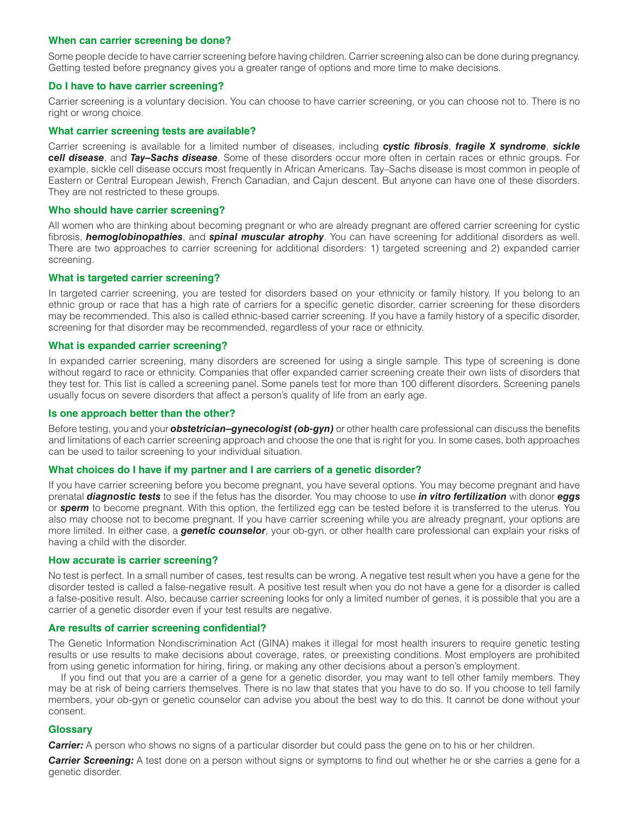#### **When can carrier screening be done?**

Some people decide to have carrier screening before having children. Carrier screening also can be done during pregnancy. Getting tested before pregnancy gives you a greater range of options and more time to make decisions.

#### **Do I have to have carrier screening?**

Carrier screening is a voluntary decision. You can choose to have carrier screening, or you can choose not to. There is no right or wrong choice.

#### **What carrier screening tests are available?**

Carrier screening is available for a limited number of diseases, including *cystic fibrosis*, *fragile X syndrome*, *sickle cell disease*, and *Tay–Sachs disease*. Some of these disorders occur more often in certain races or ethnic groups. For example, sickle cell disease occurs most frequently in African Americans. Tay–Sachs disease is most common in people of Eastern or Central European Jewish, French Canadian, and Cajun descent. But anyone can have one of these disorders. They are not restricted to these groups.

#### **Who should have carrier screening?**

All women who are thinking about becoming pregnant or who are already pregnant are offered carrier screening for cystic fibrosis, *hemoglobinopathies*, and *spinal muscular atrophy*. You can have screening for additional disorders as well. There are two approaches to carrier screening for additional disorders: 1) targeted screening and 2) expanded carrier screening.

#### **What is targeted carrier screening?**

In targeted carrier screening, you are tested for disorders based on your ethnicity or family history. If you belong to an ethnic group or race that has a high rate of carriers for a specific genetic disorder, carrier screening for these disorders may be recommended. This also is called ethnic-based carrier screening. If you have a family history of a specific disorder, screening for that disorder may be recommended, regardless of your race or ethnicity.

#### **What is expanded carrier screening?**

In expanded carrier screening, many disorders are screened for using a single sample. This type of screening is done without regard to race or ethnicity. Companies that offer expanded carrier screening create their own lists of disorders that they test for. This list is called a screening panel. Some panels test for more than 100 different disorders. Screening panels usually focus on severe disorders that affect a person's quality of life from an early age.

#### **Is one approach better than the other?**

Before testing, you and your *obstetrician–gynecologist (ob-gyn)* or other health care professional can discuss the benefits and limitations of each carrier screening approach and choose the one that is right for you. In some cases, both approaches can be used to tailor screening to your individual situation.

#### **What choices do I have if my partner and I are carriers of a genetic disorder?**

If you have carrier screening before you become pregnant, you have several options. You may become pregnant and have prenatal *diagnostic tests* to see if the fetus has the disorder. You may choose to use *in vitro fertilization* with donor *eggs* or *sperm* to become pregnant. With this option, the fertilized egg can be tested before it is transferred to the uterus. You also may choose not to become pregnant. If you have carrier screening while you are already pregnant, your options are more limited. In either case, a *genetic counselor*, your ob-gyn, or other health care professional can explain your risks of having a child with the disorder.

#### **How accurate is carrier screening?**

No test is perfect. In a small number of cases, test results can be wrong. A negative test result when you have a gene for the disorder tested is called a false-negative result. A positive test result when you do not have a gene for a disorder is called a false-positive result. Also, because carrier screening looks for only a limited number of genes, it is possible that you are a carrier of a genetic disorder even if your test results are negative.

#### **Are results of carrier screening confidential?**

The Genetic Information Nondiscrimination Act (GINA) makes it illegal for most health insurers to require genetic testing results or use results to make decisions about coverage, rates, or preexisting conditions. Most employers are prohibited from using genetic information for hiring, firing, or making any other decisions about a person's employment.

If you find out that you are a carrier of a gene for a genetic disorder, you may want to tell other family members. They may be at risk of being carriers themselves. There is no law that states that you have to do so. If you choose to tell family members, your ob-gyn or genetic counselor can advise you about the best way to do this. It cannot be done without your consent.

#### **Glossary**

**Carrier:** A person who shows no signs of a particular disorder but could pass the gene on to his or her children.

*Carrier Screening:* A test done on a person without signs or symptoms to find out whether he or she carries a gene for a genetic disorder.